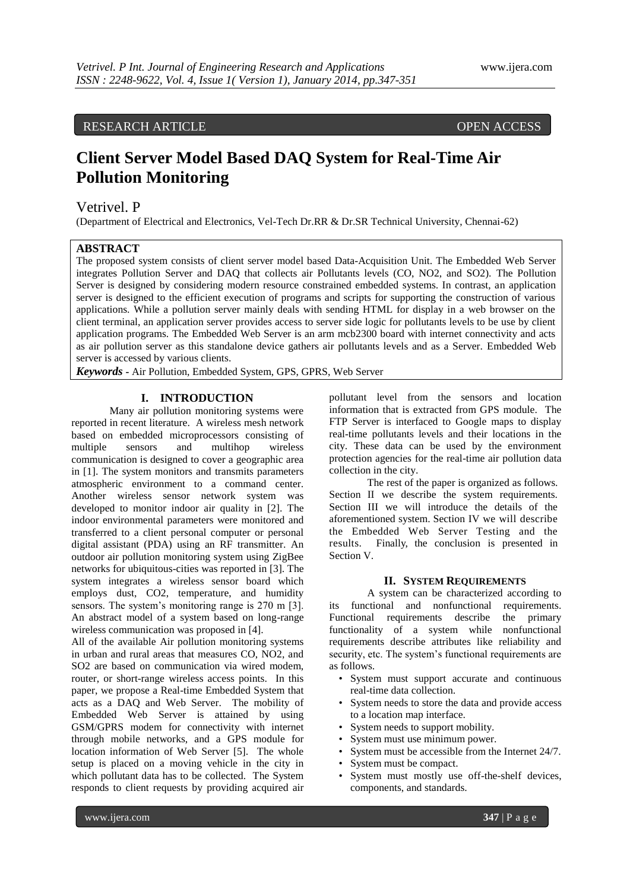# RESEARCH ARTICLE OPEN ACCESS

# **Client Server Model Based DAQ System for Real-Time Air Pollution Monitoring**

# Vetrivel. P

(Department of Electrical and Electronics, Vel-Tech Dr.RR & Dr.SR Technical University, Chennai-62)

# **ABSTRACT**

The proposed system consists of client server model based Data-Acquisition Unit. The Embedded Web Server integrates Pollution Server and DAQ that collects air Pollutants levels (CO, NO2, and SO2). The Pollution Server is designed by considering modern resource constrained embedded systems. In contrast, an application server is designed to the efficient execution of programs and scripts for supporting the construction of various applications. While a pollution server mainly deals with sending HTML for display in a web browser on the client terminal, an application server provides access to server side logic for pollutants levels to be use by client application programs. The Embedded Web Server is an arm mcb2300 board with internet connectivity and acts as air pollution server as this standalone device gathers air pollutants levels and as a Server. Embedded Web server is accessed by various clients.

*Keywords* **-** Air Pollution, Embedded System, GPS, GPRS, Web Server

# **I. INTRODUCTION**

Many air pollution monitoring systems were reported in recent literature. A wireless mesh network based on embedded microprocessors consisting of multiple sensors and multihop wireless communication is designed to cover a geographic area in [1]. The system monitors and transmits parameters atmospheric environment to a command center. Another wireless sensor network system was developed to monitor indoor air quality in [2]. The indoor environmental parameters were monitored and transferred to a client personal computer or personal digital assistant (PDA) using an RF transmitter. An outdoor air pollution monitoring system using ZigBee networks for ubiquitous-cities was reported in [3]. The system integrates a wireless sensor board which employs dust, CO2, temperature, and humidity sensors. The system's monitoring range is 270 m [3]. An abstract model of a system based on long-range wireless communication was proposed in [4].

All of the available Air pollution monitoring systems in urban and rural areas that measures CO, NO2, and SO2 are based on communication via wired modem, router, or short-range wireless access points. In this paper, we propose a Real-time Embedded System that acts as a DAQ and Web Server. The mobility of Embedded Web Server is attained by using GSM/GPRS modem for connectivity with internet through mobile networks, and a GPS module for location information of Web Server [5]. The whole setup is placed on a moving vehicle in the city in which pollutant data has to be collected. The System responds to client requests by providing acquired air

pollutant level from the sensors and location information that is extracted from GPS module. The FTP Server is interfaced to Google maps to display real-time pollutants levels and their locations in the city. These data can be used by the environment protection agencies for the real-time air pollution data collection in the city.

The rest of the paper is organized as follows. Section II we describe the system requirements. Section III we will introduce the details of the aforementioned system. Section IV we will describe the Embedded Web Server Testing and the results. Finally, the conclusion is presented in Section V.

#### **II. SYSTEM REQUIREMENTS**

A system can be characterized according to its functional and nonfunctional requirements. Functional requirements describe the primary functionality of a system while nonfunctional requirements describe attributes like reliability and security, etc. The system's functional requirements are as follows.

- System must support accurate and continuous real-time data collection.
- System needs to store the data and provide access to a location map interface.
- System needs to support mobility.
- System must use minimum power.
- System must be accessible from the Internet 24/7.
- System must be compact.
- System must mostly use off-the-shelf devices, components, and standards.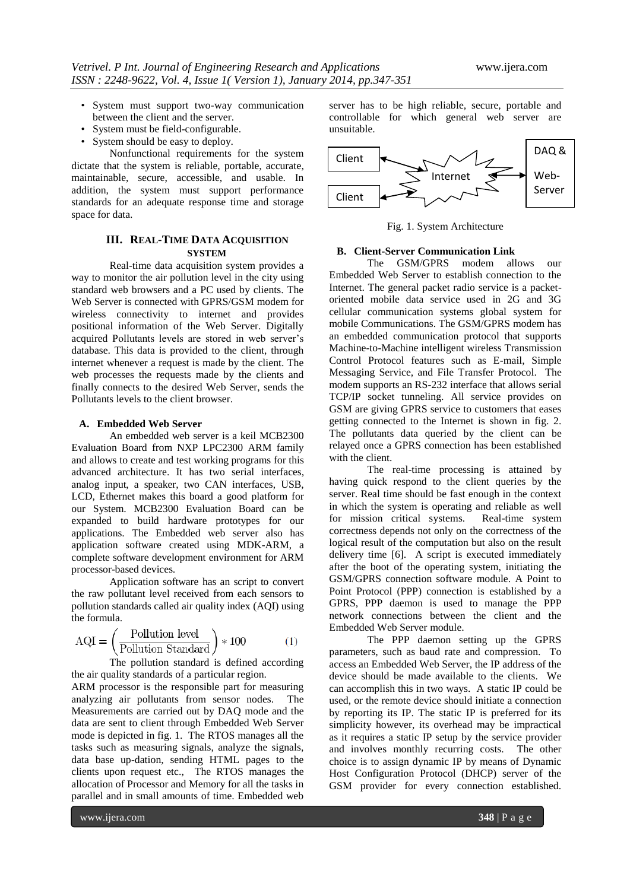- System must support two-way communication between the client and the server.
- System must be field-configurable.
- System should be easy to deploy.

Nonfunctional requirements for the system dictate that the system is reliable, portable, accurate, maintainable, secure, accessible, and usable. In addition, the system must support performance standards for an adequate response time and storage space for data.

# **III. REAL-TIME DATA ACQUISITION SYSTEM**

Real-time data acquisition system provides a way to monitor the air pollution level in the city using standard web browsers and a PC used by clients. The Web Server is connected with GPRS/GSM modem for wireless connectivity to internet and provides positional information of the Web Server. Digitally acquired Pollutants levels are stored in web server's database. This data is provided to the client, through internet whenever a request is made by the client. The web processes the requests made by the clients and finally connects to the desired Web Server, sends the Pollutants levels to the client browser.

# **A. Embedded Web Server**

An embedded web server is a keil MCB2300 Evaluation Board from NXP LPC2300 ARM family and allows to create and test working programs for this advanced architecture. It has two serial interfaces, analog input, a speaker, two CAN interfaces, USB, LCD, Ethernet makes this board a good platform for our System. MCB2300 Evaluation Board can be expanded to build hardware prototypes for our applications. The Embedded web server also has application software created using MDK-ARM, a complete software development environment for ARM processor-based devices.

Application software has an script to convert the raw pollutant level received from each sensors to pollution standards called air quality index (AQI) using the formula.

$$
AQI = \left(\frac{\text{Pollution level}}{\text{Pollution Standard}}\right) * 100\tag{1}
$$

The pollution standard is defined according the air quality standards of a particular region.

ARM processor is the responsible part for measuring analyzing air pollutants from sensor nodes. The Measurements are carried out by DAQ mode and the data are sent to client through Embedded Web Server mode is depicted in fig. 1. The RTOS manages all the tasks such as measuring signals, analyze the signals, data base up-dation, sending HTML pages to the clients upon request etc., The RTOS manages the allocation of Processor and Memory for all the tasks in parallel and in small amounts of time. Embedded web

server has to be high reliable, secure, portable and controllable for which general web server are unsuitable.



Fig. 1. System Architecture

# **B. Client-Server Communication Link**

The GSM/GPRS modem allows our Embedded Web Server to establish connection to the Internet. The general packet radio service is a packetoriented mobile data service used in 2G and 3G cellular communication systems global system for mobile Communications. The GSM/GPRS modem has an embedded communication protocol that supports Machine-to-Machine intelligent wireless Transmission Control Protocol features such as E-mail, Simple Messaging Service, and File Transfer Protocol. The modem supports an RS-232 interface that allows serial TCP/IP socket tunneling. All service provides on GSM are giving GPRS service to customers that eases getting connected to the Internet is shown in fig. 2. The pollutants data queried by the client can be relayed once a GPRS connection has been established with the client.

The real-time processing is attained by having quick respond to the client queries by the server. Real time should be fast enough in the context in which the system is operating and reliable as well<br>for mission critical systems. Real-time system for mission critical systems. correctness depends not only on the correctness of the logical result of the computation but also on the result delivery time [6]. A script is executed immediately after the boot of the operating system, initiating the GSM/GPRS connection software module. A Point to Point Protocol (PPP) connection is established by a GPRS, PPP daemon is used to manage the PPP network connections between the client and the Embedded Web Server module.

The PPP daemon setting up the GPRS parameters, such as baud rate and compression. To access an Embedded Web Server, the IP address of the device should be made available to the clients. We can accomplish this in two ways. A static IP could be used, or the remote device should initiate a connection by reporting its IP. The static IP is preferred for its simplicity however, its overhead may be impractical as it requires a static IP setup by the service provider and involves monthly recurring costs. The other choice is to assign dynamic IP by means of Dynamic Host Configuration Protocol (DHCP) server of the GSM provider for every connection established.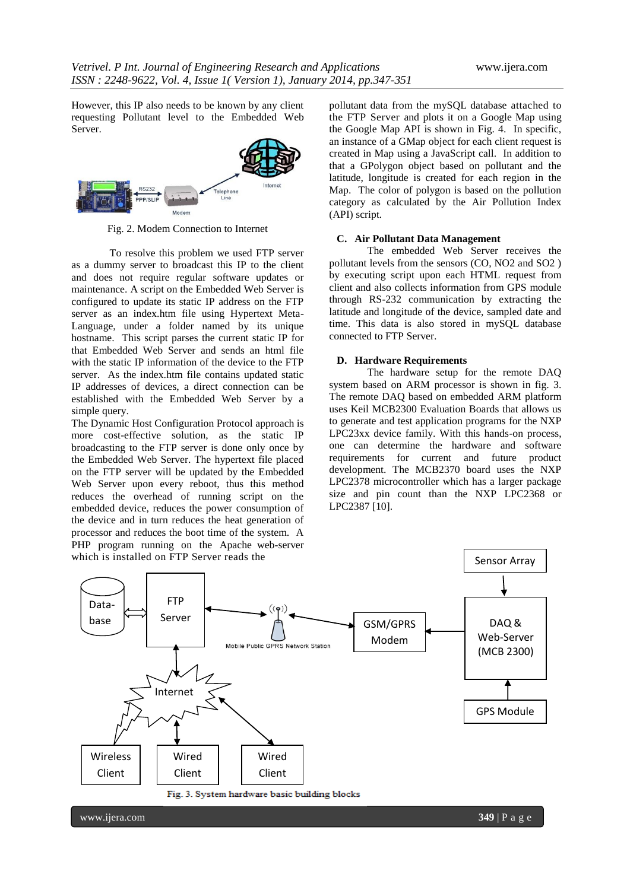However, this IP also needs to be known by any client requesting Pollutant level to the Embedded Web Server.



Fig. 2. Modem Connection to Internet

To resolve this problem we used FTP server as a dummy server to broadcast this IP to the client and does not require regular software updates or maintenance. A script on the Embedded Web Server is configured to update its static IP address on the FTP server as an index.htm file using Hypertext Meta-Language, under a folder named by its unique hostname. This script parses the current static IP for that Embedded Web Server and sends an html file with the static IP information of the device to the FTP server. As the index.htm file contains updated static IP addresses of devices, a direct connection can be established with the Embedded Web Server by a simple query.

The Dynamic Host Configuration Protocol approach is more cost-effective solution, as the static IP broadcasting to the FTP server is done only once by the Embedded Web Server. The hypertext file placed on the FTP server will be updated by the Embedded Web Server upon every reboot, thus this method reduces the overhead of running script on the embedded device, reduces the power consumption of the device and in turn reduces the heat generation of processor and reduces the boot time of the system. A PHP program running on the Apache web-server pollutant data from the mySQL database attached to the FTP Server and plots it on a Google Map using the Google Map API is shown in Fig. 4. In specific, an instance of a GMap object for each client request is created in Map using a JavaScript call. In addition to that a GPolygon object based on pollutant and the latitude, longitude is created for each region in the Map. The color of polygon is based on the pollution category as calculated by the Air Pollution Index (API) script.

#### **C. Air Pollutant Data Management**

The embedded Web Server receives the pollutant levels from the sensors (CO, NO2 and SO2 ) by executing script upon each HTML request from client and also collects information from GPS module through RS-232 communication by extracting the latitude and longitude of the device, sampled date and time. This data is also stored in mySQL database connected to FTP Server.

#### **D. Hardware Requirements**

The hardware setup for the remote DAQ system based on ARM processor is shown in fig. 3. The remote DAQ based on embedded ARM platform uses Keil MCB2300 Evaluation Boards that allows us to generate and test application programs for the NXP LPC23xx device family. With this hands-on process, one can determine the hardware and software requirements for current and future product development. The MCB2370 board uses the NXP LPC2378 microcontroller which has a larger package size and pin count than the NXP LPC2368 or LPC2387 [10].

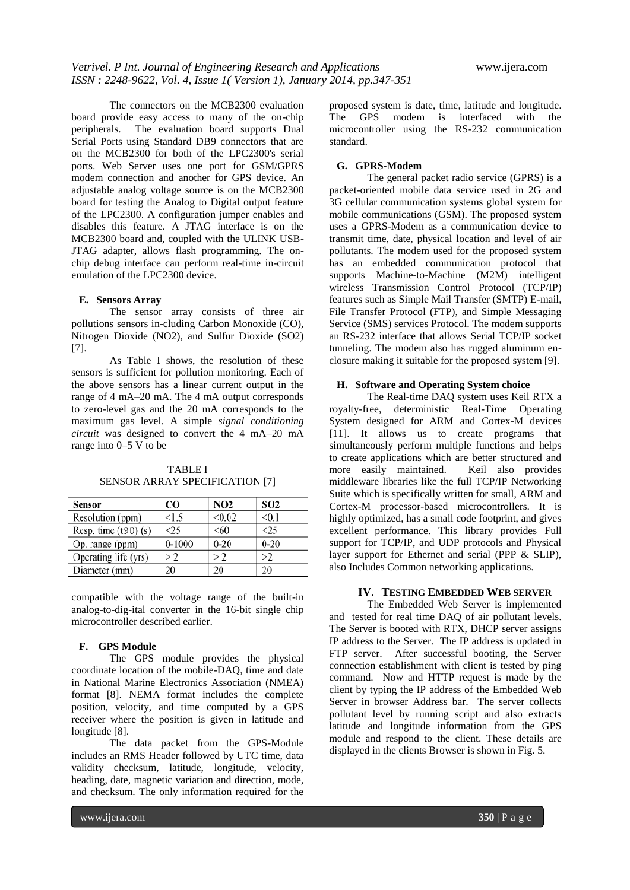The connectors on the MCB2300 evaluation board provide easy access to many of the on-chip peripherals. The evaluation board supports Dual Serial Ports using Standard DB9 connectors that are on the MCB2300 for both of the LPC2300's serial ports. Web Server uses one port for GSM/GPRS modem connection and another for GPS device. An adjustable analog voltage source is on the MCB2300 board for testing the Analog to Digital output feature of the LPC2300. A configuration jumper enables and disables this feature. A JTAG interface is on the MCB2300 board and, coupled with the ULINK USB-JTAG adapter, allows flash programming. The onchip debug interface can perform real-time in-circuit emulation of the LPC2300 device.

### **E. Sensors Array**

The sensor array consists of three air pollutions sensors in-cluding Carbon Monoxide (CO), Nitrogen Dioxide (NO2), and Sulfur Dioxide (SO2) [7].

As Table I shows, the resolution of these sensors is sufficient for pollution monitoring. Each of the above sensors has a linear current output in the range of 4 mA–20 mA. The 4 mA output corresponds to zero-level gas and the 20 mA corresponds to the maximum gas level. A simple *signal conditioning circuit* was designed to convert the 4 mA–20 mA range into 0–5 V to be

# TABLE I SENSOR ARRAY SPECIFICATION [7]

| Sensor                 | CO.        | <b>NO2</b> | <b>SO2</b> |
|------------------------|------------|------------|------------|
| Resolution (ppm)       | <1.5       | < 0.02     | < 0.1      |
| Resp. time $(190)$ (s) | <25        | <60        | <25        |
| Op. range (ppm)        | $0 - 1000$ | $0 - 20$   | $0 - 20$   |
| Operating life (yrs)   | >2         | >2         | >2         |
| Diameter (mm)          | 20         | 20         | 20         |

compatible with the voltage range of the built-in analog-to-dig-ital converter in the 16-bit single chip microcontroller described earlier.

# **F. GPS Module**

The GPS module provides the physical coordinate location of the mobile-DAQ, time and date in National Marine Electronics Association (NMEA) format [8]. NEMA format includes the complete position, velocity, and time computed by a GPS receiver where the position is given in latitude and longitude [8].

The data packet from the GPS-Module includes an RMS Header followed by UTC time, data validity checksum, latitude, longitude, velocity, heading, date, magnetic variation and direction, mode, and checksum. The only information required for the

proposed system is date, time, latitude and longitude. The GPS modem is interfaced with the microcontroller using the RS-232 communication standard.

#### **G. GPRS-Modem**

The general packet radio service (GPRS) is a packet-oriented mobile data service used in 2G and 3G cellular communication systems global system for mobile communications (GSM). The proposed system uses a GPRS-Modem as a communication device to transmit time, date, physical location and level of air pollutants. The modem used for the proposed system has an embedded communication protocol that supports Machine-to-Machine (M2M) intelligent wireless Transmission Control Protocol (TCP/IP) features such as Simple Mail Transfer (SMTP) E-mail, File Transfer Protocol (FTP), and Simple Messaging Service (SMS) services Protocol. The modem supports an RS-232 interface that allows Serial TCP/IP socket tunneling. The modem also has rugged aluminum enclosure making it suitable for the proposed system [9].

#### **H. Software and Operating System choice**

The Real-time DAQ system uses Keil RTX a royalty-free, deterministic Real-Time Operating System designed for ARM and Cortex-M devices [11]. It allows us to create programs that simultaneously perform multiple functions and helps to create applications which are better structured and<br>more easily maintained. Keil also provides more easily maintained. middleware libraries like the full TCP/IP Networking Suite which is specifically written for small, ARM and Cortex-M processor-based microcontrollers. It is highly optimized, has a small code footprint, and gives excellent performance. This library provides Full support for TCP/IP, and UDP protocols and Physical layer support for Ethernet and serial (PPP & SLIP), also Includes Common networking applications.

# **IV. TESTING EMBEDDED WEB SERVER**

The Embedded Web Server is implemented and tested for real time DAQ of air pollutant levels. The Server is booted with RTX, DHCP server assigns IP address to the Server. The IP address is updated in FTP server. After successful booting, the Server connection establishment with client is tested by ping command. Now and HTTP request is made by the client by typing the IP address of the Embedded Web Server in browser Address bar. The server collects pollutant level by running script and also extracts latitude and longitude information from the GPS module and respond to the client. These details are displayed in the clients Browser is shown in Fig. 5.